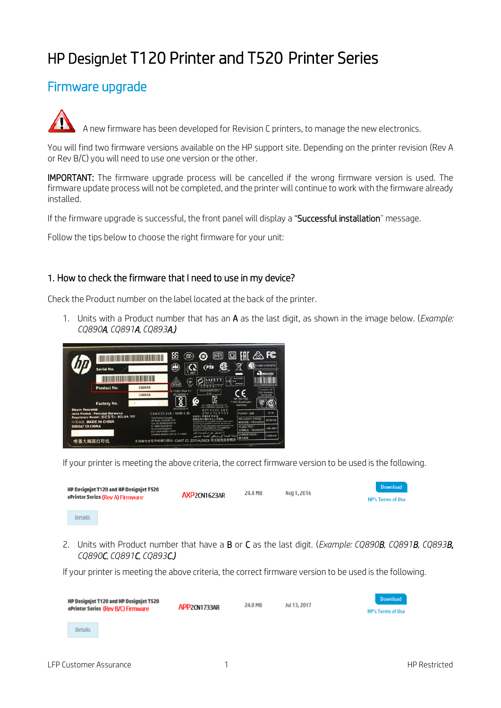# HP DesignJet T120 Printer and T520 Printer Series

# Firmware upgrade

A new firmware has been developed for Revision C printers, to manage the new electronics.

You will find two firmware versions available on the HP support site. Depending on the printer revision (Rev A or Rev B/C) you will need to use one version or the other.

IMPORTANT: The firmware upgrade process will be cancelled if the wrong firmware version is used. The firmware update process will not be completed, and the printer will continue to work with the firmware already installed.

If the firmware upgrade is successful, the front panel will display a "Successful installation" message.

Follow the tips below to choose the right firmware for your unit:

### 1. How to check the firmware that I need to use in my device?

Check the Product number on the label located at the back of the printer.

1. Units with a Product number that has an A as the last digit, as shown in the image below. (*Example: CQ890A, CQ891A, CQ893A.)*



If your printer is meeting the above criteria, the correct firmware version to be used is the following.



2. Units with Product number that have a B or C as the last digit. (*Example: CQ890B, CQ891B, CQ893B, CQ890C, CQ891C, CQ893C.)*

If your printer is meeting the above criteria, the correct firmware version to be used is the following.

| HP Designjet T120 and HP Designjet T520<br>ePrinter Series (Rev B/C) Firmware | APP <sub>2</sub> CN1733AR | 24.8 MB | Jul 13, 2017 | <b>Download</b><br><b>HP's Terms of Use</b> |
|-------------------------------------------------------------------------------|---------------------------|---------|--------------|---------------------------------------------|
| Details                                                                       |                           |         |              |                                             |
| LFP Customer Assurance                                                        |                           |         |              | <b>HP Restricted</b>                        |